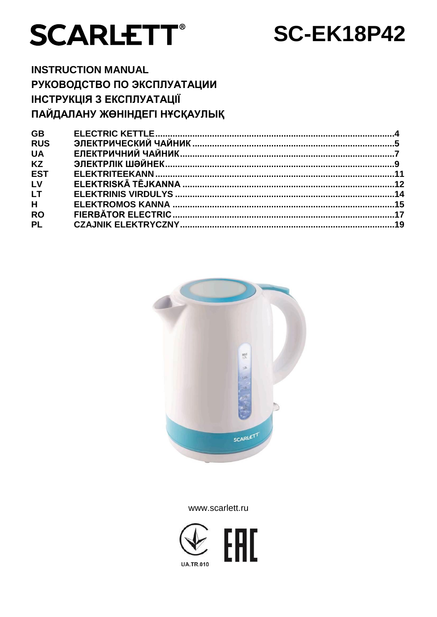

# **SC-EK18P42**

# **INSTRUCTION MANUAL** РУКОВОДСТВО ПО ЭКСПЛУАТАЦИИ **ІНСТРУКЦІЯ З ЕКСПЛУАТАЦІЇ** ПАЙДАЛАНУ ЖӨНІНДЕГІ НҰСҚАУЛЫҚ

| <b>GB</b>  |  |
|------------|--|
| <b>RUS</b> |  |
| <b>UA</b>  |  |
| <b>KZ</b>  |  |
| <b>EST</b> |  |
| LV         |  |
| <b>LT</b>  |  |
| H          |  |
| <b>RO</b>  |  |
| <b>PL</b>  |  |
|            |  |



www.scarlett.ru

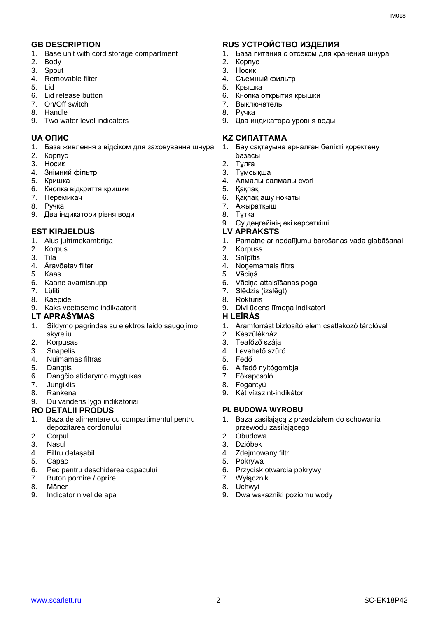- 1. Base unit with cord storage compartment
- 2. Body
- 3. Spout
- 4. Removable filter
- 5. Lid
- 6. Lid release button
- 7. On/Off switch
- 8. Handle
- 9. Two water level indicators

- 1. База живлення з відсіком для заховування шнура
- 2. Корпус
- 3. Носик
- 4. Знiмний фільтр
- 5. Кришка
- 6. Кнопка відкриття кришки
- 7. Перемикач
- 8. Ручка
- 9. Два індикатори рівня води

#### **EST KIRJELDUS LV APRAKSTS**

- 1. Alus juhtmekambriga
- 2. Korpus
- 3. Tila
- 4. Äravõetav filter
- 5. Kaas
- 6. Kaane avamisnupp
- 7. Lüliti
- 8. Käepide
- 9. Kaks veetaseme indikaatorit

#### **LT APRAŠYMAS H LEÍRÁS**

- 1. Šildymo pagrindas su elektros laido saugojimo skyreliu
- 2. Korpusas
- 3. Snapelis
- 4. Nuimamas filtras
- 5. Dangtis
- 6. Dangčio atidarymo mygtukas
- 7. Jungiklis
- 8. Rankena
- 9. Du vandens lygo indikatoriai

#### **RO DETALII PRODUS PL BUDOWA WYROBU**

- 1. Baza de alimentare cu compartimentul pentru depozitarea cordonului
- 2. Corpul
- 3. Nasul
- 4. Filtru detașabil
- 5. Capac
- 6. Pec pentru deschiderea capacului<br>7. Buton pornire / oprire
- Buton pornire / oprire
- 8. Mâner
- 9. Indicator nivel de apa

#### **GB DESCRIPTION RUS УСТРОЙСТВО ИЗДЕЛИЯ**

- 1. База питания с отсеком для хранения шнура
- 2. Корпус
- 3. Носик
- 4. Съемный фильтр
- 5. Крышка
- 6. Кнопка открытия крышки
- 7. Выключатель
- 8. Ручка
- 9. Два индикатора уровня воды

#### **UA ОПИС KZ СИПАТТАМА**

- 1. Бау сақтауына арналған бөлікті қоректену базасы
- 2. Тұлға
- 3. Тұмсықша
- 4. Алмалы-салмалы сүзгі
- 5. Қақпақ
- 6. Қақпақ ашу ноқаты
- 7. Ажыратқыш
- 8. Тұтқа
- 9. Су деңгейінің екі көрсеткіші
- 
- 1. Pamatne ar nodalījumu barošanas vada glabāšanai
- 2. Korpuss
- 3. Snīpītis
- 4. Noņemamais filtrs
- 5. Vāciņš
- 6. Vāciņa attaisīšanas poga
- 7. Slēdzis (izslēgt)
- 8. Rokturis
- 9. Divi ūdens līmeņa indikatori

- 1. Áramforrást biztosító elem csatlakozó tárolóval
- 2. Készülékház
- 3. Teafőző szája
- 4. Levehető szűrő
- 5. Fedő
- 6. A fedő nyitógombja
- 7. Főkapcsoló
- 8. Fogantyú
	- 9. Két vízszint-indikátor

- 1. Baza zasilającą z przedziałem do schowania przewodu zasilającego
- 2. Obudowa
- 3. Dzióbek
- 4. Zdejmowany filtr
- 5. Pokrywa
- 6. Przycisk otwarcia pokrywy
- 7. Wyłącznik
- 8. Uchwyt 9. Dwa wskaźniki poziomu wody

www.scarlett.ru 2 2 SC-EK18P42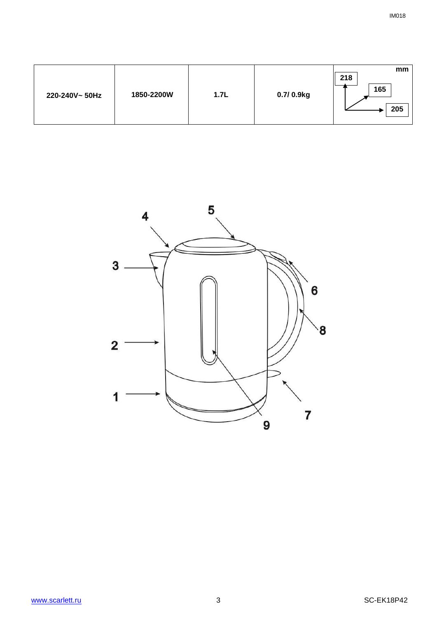| 218<br>165<br>1850-2200W<br>1.7L<br>0.7/0.9kg<br>220-240V~50Hz | mm<br>205 |
|----------------------------------------------------------------|-----------|
|----------------------------------------------------------------|-----------|

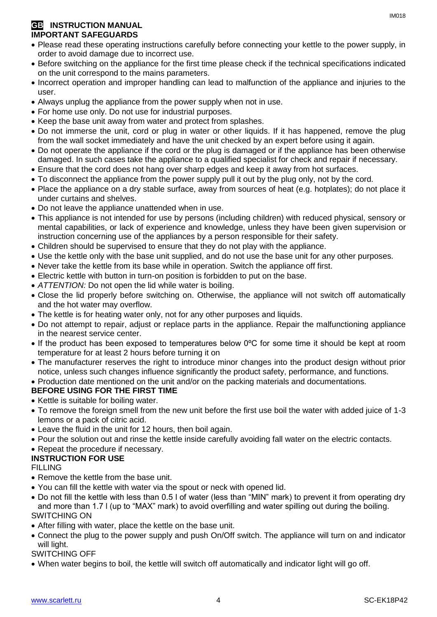#### **GB** INSTRUCTION MANUAL **IMPORTANT SAFEGUARDS**

- Please read these operating instructions carefully before connecting your kettle to the power supply, in order to avoid damage due to incorrect use.
- Before switching on the appliance for the first time please check if the technical specifications indicated on the unit correspond to the mains parameters.
- Incorrect operation and improper handling can lead to malfunction of the appliance and injuries to the user.
- Always unplug the appliance from the power supply when not in use.
- For home use only. Do not use for industrial purposes.
- Keep the base unit away from water and protect from splashes.
- Do not immerse the unit, cord or plug in water or other liquids. If it has happened, remove the plug from the wall socket immediately and have the unit checked by an expert before using it again.
- Do not operate the appliance if the cord or the plug is damaged or if the appliance has been otherwise damaged. In such cases take the appliance to a qualified specialist for check and repair if necessary.
- Ensure that the cord does not hang over sharp edges and keep it away from hot surfaces.
- To disconnect the appliance from the power supply pull it out by the plug only, not by the cord.
- Place the appliance on a dry stable surface, away from sources of heat (e.g. hotplates); do not place it under curtains and shelves.
- Do not leave the appliance unattended when in use.
- This appliance is not intended for use by persons (including children) with reduced physical, sensory or mental capabilities, or lack of experience and knowledge, unless they have been given supervision or instruction concerning use of the appliances by a person responsible for their safety.
- Children should be supervised to ensure that they do not play with the appliance.
- Use the kettle only with the base unit supplied, and do not use the base unit for any other purposes.
- Never take the kettle from its base while in operation. Switch the appliance off first.
- Electric kettle with button in turn-on position is forbidden to put on the base.
- *ATTENTION:* Do not open the lid while water is boiling.
- Close the lid properly before switching on. Otherwise, the appliance will not switch off automatically and the hot water may overflow.
- The kettle is for heating water only, not for any other purposes and liquids.
- Do not attempt to repair, adjust or replace parts in the appliance. Repair the malfunctioning appliance in the nearest service center.
- If the product has been exposed to temperatures below 0ºC for some time it should be kept at room temperature for at least 2 hours before turning it on
- The manufacturer reserves the right to introduce minor changes into the product design without prior notice, unless such changes influence significantly the product safety, performance, and functions.
- Production date mentioned on the unit and/or on the packing materials and documentations.

### **BEFORE USING FOR THE FIRST TIME**

- Kettle is suitable for boiling water.
- To remove the foreign smell from the new unit before the first use boil the water with added juice of 1-3 lemons or a pack of citric acid.
- Leave the fluid in the unit for 12 hours, then boil again.
- Pour the solution out and rinse the kettle inside carefully avoiding fall water on the electric contacts.

#### • Repeat the procedure if necessary.

#### **INSTRUCTION FOR USE**

FILLING

- Remove the kettle from the base unit.
- You can fill the kettle with water via the spout or neck with opened lid.
- Do not fill the kettle with less than 0.5 l of water (less than "MIN" mark) to prevent it from operating dry and more than 1.7 l (up to "MAX" mark) to avoid overfilling and water spilling out during the boiling. SWITCHING ON
- After filling with water, place the kettle on the base unit.
- Connect the plug to the power supply and push On/Off switch. The appliance will turn on and indicator will light.

#### SWITCHING OFF

When water begins to boil, the kettle will switch off automatically and indicator light will go off.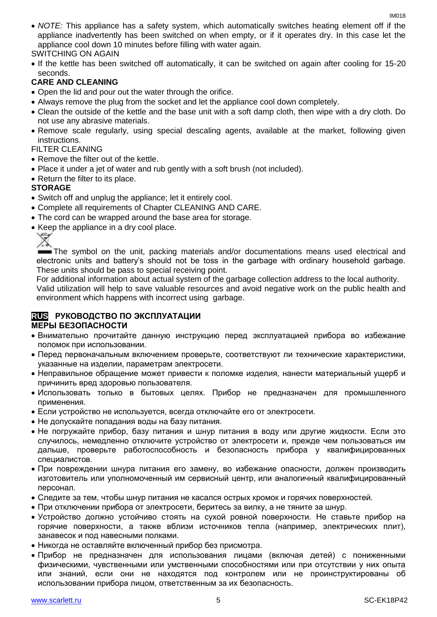*NOTE:* This appliance has a safety system, which automatically switches heating element off if the appliance inadvertently has been switched on when empty, or if it operates dry. In this case let the appliance cool down 10 minutes before filling with water again.

#### SWITCHING ON AGAIN

• If the kettle has been switched off automatically, it can be switched on again after cooling for 15-20 seconds.

#### **CARE AND CLEANING**

- Open the lid and pour out the water through the orifice.
- Always remove the plug from the socket and let the appliance cool down completely.
- Clean the outside of the kettle and the base unit with a soft damp cloth, then wipe with a dry cloth. Do not use any abrasive materials.
- Remove scale regularly, using special descaling agents, available at the market, following given instructions.

#### FILTER CLEANING

- Remove the filter out of the kettle.
- Place it under a jet of water and rub gently with a soft brush (not included).
- Return the filter to its place.

#### **STORAGE**

- Switch off and unplug the appliance; let it entirely cool.
- Complete all requirements of Chapter CLEANING AND CARE.
- The cord can be wrapped around the base area for storage.
- Keep the appliance in a dry cool place.

The symbol on the unit, packing materials and/or documentations means used electrical and electronic units and battery's should not be toss in the garbage with ordinary household garbage. These units should be pass to special receiving point.

For additional information about actual system of the garbage collection address to the local authority.

Valid utilization will help to save valuable resources and avoid negative work on the public health and environment which happens with incorrect using garbage.

#### **RUS РУКОВОДСТВО ПО ЭКСПЛУАТАЦИИ МЕРЫ БЕЗОПАСНОСТИ**

- Внимательно прочитайте данную инструкцию перед эксплуатацией прибора во избежание поломок при использовании.
- Перед первоначальным включением проверьте, соответствуют ли технические характеристики, указанные на изделии, параметрам электросети.
- Неправильное обращение может привести к поломке изделия, нанести материальный ущерб и причинить вред здоровью пользователя.
- Использовать только в бытовых целях. Прибор не предназначен для промышленного применения.
- Если устройство не используется, всегда отключайте его от электросети.
- Не допускайте попадания воды на базу питания.
- Не погружайте прибор, базу питания и шнур питания в воду или другие жидкости. Если это случилось, немедленно отключите устройство от электросети и, прежде чем пользоваться им дальше, проверьте работоспособность и безопасность прибора у квалифицированных специалистов.
- При повреждении шнура питания его замену, во избежание опасности, должен производить изготовитель или уполномоченный им сервисный центр, или аналогичный квалифицированный персонал.
- Следите за тем, чтобы шнур питания не касался острых кромок и горячих поверхностей.
- При отключении прибора от электросети, беритесь за вилку, а не тяните за шнур.
- Устройство должно устойчиво стоять на сухой ровной поверхности. Не ставьте прибор на горячие поверхности, а также вблизи источников тепла (например, электрических плит), занавесок и под навесными полками.
- Никогда не оставляйте включенный прибор без присмотра.
- Прибор не предназначен для использования лицами (включая детей) с пониженными физическими, чувственными или умственными способностями или при отсутствии у них опыта или знаний, если они не находятся под контролем или не проинструктированы об использовании прибора лицом, ответственным за их безопасность.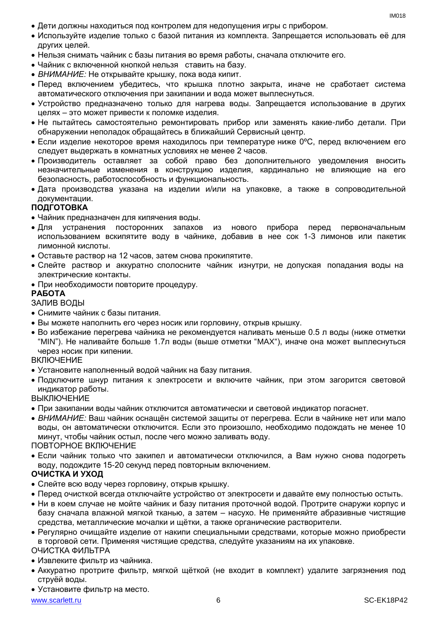- Дети должны находиться под контролем для недопущения игры с прибором.
- Используйте изделие только с базой питания из комплекта. Запрещается использовать её для других целей.
- Нельзя снимать чайник с базы питания во время работы, сначала отключите его.
- Чайник с включенной кнопкой нельзя ставить на базу.
- *ВНИМАНИЕ:* Не открывайте крышку, пока вода кипит.
- Перед включением убедитесь, что крышка плотно закрыта, иначе не сработает система автоматического отключения при закипании и вода может выплеснуться.
- Устройство предназначено только для нагрева воды. Запрещается использование в других целях – это может привести к поломке изделия.
- Не пытайтесь самостоятельно ремонтировать прибор или заменять какие-либо детали. При обнаружении неполадок обращайтесь в ближайший Сервисный центр.
- $\bullet$  Если изделие некоторое время находилось при температуре ниже 0°С, перед включением его следует выдержать в комнатных условиях не менее 2 часов.
- Производитель оставляет за собой право без дополнительного уведомления вносить незначительные изменения в конструкцию изделия, кардинально не влияющие на его безопасность, работоспособность и функциональность.
- Дата производства указана на изделии и/или на упаковке, а также в сопроводительной документации.

#### **ПОДГОТОВКА**

- Чайник предназначен для кипячения воды.
- Для устранения посторонних запахов из нового прибора перед первоначальным использованием вскипятите воду в чайнике, добавив в нее сок 1-3 лимонов или пакетик лимонной кислоты.
- Оставьте раствор на 12 часов, затем снова прокипятите.
- Слейте раствор и аккуратно сполосните чайник изнутри, не допуская попадания воды на электрические контакты.
- При необходимости повторите процедуру.

#### **РАБОТА**

#### ЗАЛИВ ВОДЫ

- Снимите чайник с базы питания.
- Вы можете наполнить его через носик или горловину, открыв крышку.
- Во избежание перегрева чайника не рекомендуется наливать меньше 0.5 л воды (ниже отметки "MIN"). Не наливайте больше 1.7л воды (выше отметки "MAX"), иначе она может выплеснуться через носик при кипении.

#### **ВКЛЮЧЕНИЕ**

- Установите наполненный водой чайник на базу питания.
- Подключите шнур питания к электросети и включите чайник, при этом загорится световой индикатор работы.

**ВЫКЛЮЧЕНИЕ** 

- При закипании воды чайник отключится автоматически и световой индикатор погаснет.
- *ВНИМАНИЕ:* Ваш чайник оснащён системой защиты от перегрева. Если в чайнике нет или мало воды, он автоматически отключится. Если это произошло, необходимо подождать не менее 10 минут, чтобы чайник остыл, после чего можно заливать воду.

#### ПОВТОРНОЕ ВКЛЮЧЕНИЕ

 Если чайник только что закипел и автоматически отключился, а Вам нужно снова подогреть воду, подождите 15-20 секунд перед повторным включением.

#### **ОЧИСТКА И УХОД**

- Слейте всю воду через горловину, открыв крышку.
- Перед очисткой всегда отключайте устройство от электросети и давайте ему полностью остыть.
- Ни в коем случае не мойте чайник и базу питания проточной водой. Протрите снаружи корпус и базу сначала влажной мягкой тканью, а затем – насухо. Не применяйте абразивные чистящие средства, металлические мочалки и щётки, а также органические растворители.
- Регулярно очищайте изделие от накипи специальными средствами, которые можно приобрести в торговой сети. Применяя чистящие средства, следуйте указаниям на их упаковке.

#### ОЧИСТКА ФИЛЬТРА

- Извлеките фильтр из чайника.
- Аккуратно протрите фильтр, мягкой щёткой (не входит в комплект) удалите загрязнения под струёй воды.
- Установите фильтр на место.

#### www.scarlett.ru 6 SC-EK18P42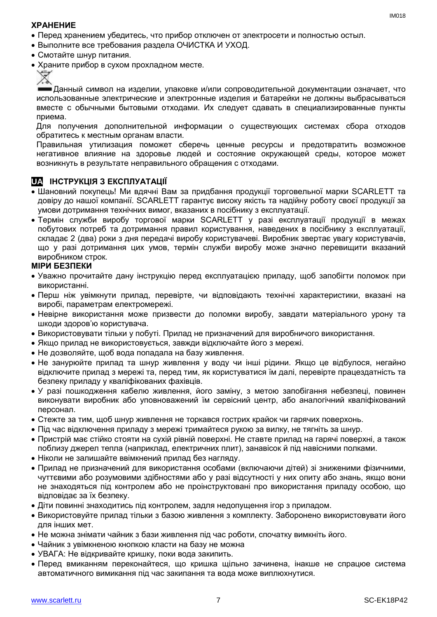#### **ХРАНЕНИЕ**

- Перед хранением убедитесь, что прибор отключен от электросети и полностью остыл.
- Выполните все требования раздела ОЧИСТКА И УХОД.
- Смотайте шнур питания.
- Храните прибор в сухом прохладном месте.



Данный символ на изделии, упаковке и/или сопроводительной документации означает, что использованные электрические и электронные изделия и батарейки не должны выбрасываться вместе с обычными бытовыми отходами. Их следует сдавать в специализированные пункты приема.

Для получения дополнительной информации о существующих системах сбора отходов обратитесь к местным органам власти.

Правильная утилизация поможет сберечь ценные ресурсы и предотвратить возможное негативное влияние на здоровье людей и состояние окружающей среды, которое может возникнуть в результате неправильного обращения с отходами.

### **UA ІНСТРУКЦІЯ З ЕКСПЛУАТАЦІЇ**

- Шановний покупець! Ми вдячні Вам за придбання продукції торговельної марки SCARLETT та довіру до нашої компанії. SCARLETT гарантує високу якість та надійну роботу своєї продукції за умови дотримання технічних вимог, вказаних в посібнику з експлуатації.
- Термін служби виробу торгової марки SCARLETT у разі експлуатації продукції в межах побутових потреб та дотримання правил користування, наведених в посібнику з експлуатації, складає 2 (два) роки з дня передачі виробу користувачеві. Виробник звертає увагу користувачів, що у разі дотримання цих умов, термін служби виробу може значно перевищити вказаний виробником строк.

#### **МІРИ БЕЗПЕКИ**

- Уважно прочитайте дану інструкцію перед експлуатацією приладу, щоб запобігти поломок при використанні.
- Перш ніж увімкнути прилад, перевірте, чи відповідають технічні характеристики, вказані на виробі, параметрам електромережі.
- Невiрне використання може призвести до поломки виробу, завдати матеріального урону та шкоди здоров'ю користувача.
- Використовувати тільки у побуті. Прилад не призначений для виробничого використання.
- Якщо прилад не використовується, завжди відключайте його з мережі.
- Не дозволяйте, щоб вода попадала на базу живлення.
- Не занурюйте прилад та шнур живлення у воду чи інші рідини. Якщо це відбулося, негайно відключите прилад з мережі та, перед тим, як користуватися їм далі, перевірте працездатність та безпеку приладу у кваліфікованих фахівців.
- У разі пошкодження кабелю живлення, його заміну, з метою запобігання небезпеці, повинен виконувати виробник або уповноважений їм сервісний центр, або аналогічний кваліфікований персонал.
- Стежте за тим, щоб шнур живлення не торкався гострих крайок чи гарячих поверхонь.
- Пiд час відключення приладу з мережі тримайтеся рукою за вилку, не тягніть за шнур.
- Пристрій має стійко стояти на сухій рiвній поверхні. Не ставте прилад на гарячі поверхні, а також поблизу джерел тепла (наприклад, електричних плит), занавісок й під навісними полками.
- Ніколи не залишайте ввімкнений прилад без нагляду.
- Прилад не призначений для використання особами (включаючи дітей) зі зниженими фізичними, чуттєвими або розумовими здібностями або у разі відсутності у них опиту або знань, якщо вони не знаходяться під контролем або не проінструктовані про використання приладу особою, що відповідає за їх безпеку.
- Діти повинні знаходитись під контролем, задля недопущення ігор з приладом.
- Використовуйте прилад тільки з базою живлення з комплекту. Заборонено використовувати його для iнших мет.
- Не можна знімати чайник з бази живлення під час роботи, спочатку вимкніть його.
- Чайник з увімкненою кнопкою класти на базу не можна
- УВАГА: Не відкривайте кришку, поки вода закипить.
- Перед вмиканням переконайтеся, що кришка щільно зачинена, інакше не спрацюе система автоматичного вимикання пiд час закипання та вода може виплюхнутися.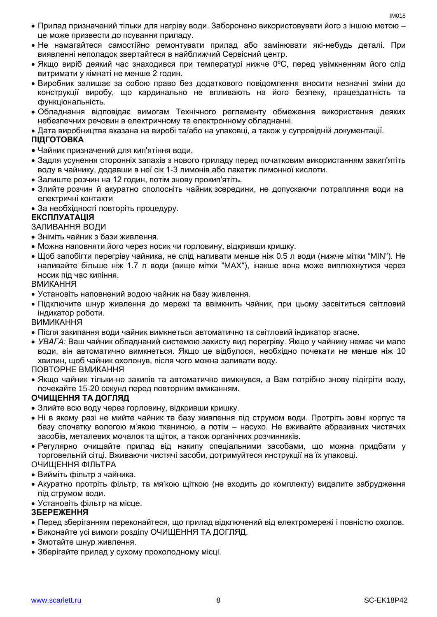- Прилад призначений тільки для нагріву води. Заборонено використовувати його з іншою метою це може призвести до псування приладу.
- Не намагайтеся самостійно ремонтувати прилад або замінювати які-небудь деталі. При виявленні неполадок звертайтеся в найближчий Сервісний центр.
- Якщо виріб деякий час знаходився при температурі нижче 0ºC, перед увімкненням його слід витримати у кімнаті не менше 2 годин.
- Виробник залишає за собою право без додаткового повідомлення вносити незначні зміни до конструкції виробу, що кардинально не впливають на його безпеку, працездатність та функціональність.
- Обладнання відповідає вимогам Технічного регламенту обмеження використання деяких небезпечних речовин в електричному та електронному обладнанні.
- Дата виробництва вказана на виробі та/або на упаковці, а також у супровідній документації.

#### **ПІДГОТОВКА**

- Чайник призначений для кип'ятіння води.
- Задля усунення сторонніх запахів з нового приладу перед початковим використанням закип'ятіть воду в чайнику, додавши в неї сік 1-3 лимонів або пакетик лимонної кислоти.
- Залиште розчин на 12 годин, потім знову прокип'ятіть.
- Злийте розчин й акуратно сполосніть чайник зсередини, не допускаючи потрапляння води на електричні контакти
- За необхідності повторіть процедуру.

#### **ЕКСПЛУАТАЦІЯ**

#### ЗАЛИВАННЯ ВОДИ

- Зніміть чайник з бази живлення.
- Можна наповняти його через носик чи горловину, відкривши кришку.
- Щоб запобігти перегріву чайника, не слiд наливати менше ніж 0.5 л води (нижче мітки "MIN"). Не наливайте більше ніж 1.7 л води (вище мітки "MAX"), інакше вона може виплюхнутися через носик пiд час кипіння.

ВМИКАННЯ

- Установіть наповнений водою чайник на базу живлення.
- Підключите шнур живлення до мережі та ввімкнить чайник, при цьому засвітиться світловий індикатор роботи.

ВИМИКАННЯ

- Після закипання води чайник вимкнеться автоматично та світловий індикатор згасне.
- *УВАГА:* Ваш чайник обладнаний системою захисту вид перегріву. Якщо у чайнику немає чи мало води, він автоматично вимкнеться. Якщо це відбулося, необхідно почекати не менше ніж 10 хвилин, щоб чайник охолонув, після чого можна заливати воду.

ПОВТОРНЕ ВМИКАННЯ

 Якщо чайник тільки-но закипів та автоматично вимкнувся, а Вам потрібно знову підігріти воду, почекайте 15-20 секунд перед повторним вмиканням.

#### **ОЧИЩЕННЯ ТА ДОГЛЯД**

- Злийте всю воду через горловину, відкривши кришку.
- Ні в якому разі не мийте чайник та базу живлення під струмом води. Протріть зовні корпус та базу спочатку вологою м'якою тканиною, а потім – насухо. Не вживайте абразивних чистячих засобів, металевих мочалок та щіток, а також органічних розчинників.
- Регулярно очищайте прилад від накипу спеціальними засобами, що можна придбати у торговельній сітці. Вживаючи чистячі засоби, дотримуйтеся инструкції на їх упаковці. ОЧИЩЕННЯ ФІЛЬТРА
- Вийміть фільтр з чайника.
- Акуратно протріть фільтр, та мя'кою щіткою (не входить до комплекту) видалите забрудження під струмом води.
- Установіть фільтр на місце.

#### **ЗБЕРЕЖЕННЯ**

- Перед зберіганням переконайтеся, що прилад відключений від електромережі і повністю охолов.
- Виконайте усі вимоги розділу ОЧИЩЕННЯ ТА ДОГЛЯД.
- Змотайте шнур живлення.
- Зберігайте прилад у сухому прохолодному місці.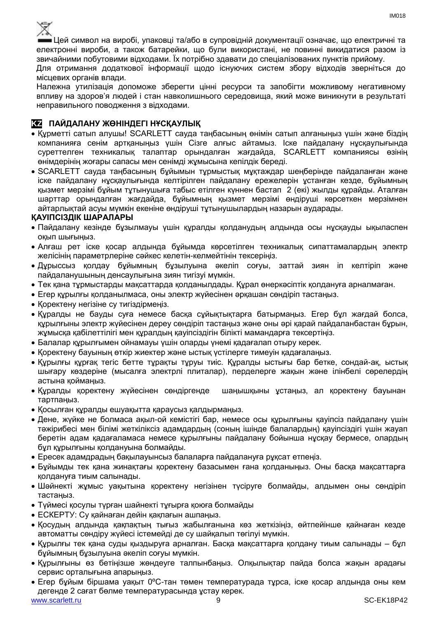

Цей символ на виробі, упаковці та/або в супровідній документації означає, що електричні та електронні вироби, а також батарейки, що були використані, не повинні викидатися разом із звичайними побутовими відходами. Їх потрібно здавати до спеціалізованих пунктів прийому.

Для отримання додаткової інформації щодо існуючих систем збору відходів зверніться до місцевих органів влади.

Належна утилізація допоможе зберегти цінні ресурси та запобігти можливому негативному впливу на здоров'я людей і стан навколишнього середовища, який може виникнути в результаті неправильного поводження з відходами.

#### **KZ ПАЙДАЛАНУ ЖӨНІНДЕГІ НҰСҚАУЛЫҚ**

- Құрметті сатып алушы! SCARLETT сауда таңбасының өнімін сатып алғаныңыз үшін және біздің компанияға сенім артқаныңыз үшін Сізге алғыс айтамыз. Іске пайдалану нұсқаулығында суреттелген техникалық талаптар орындалған жағдайда, SCARLETT компаниясы өзінің өнімдерінің жоғары сапасы мен сенімді жұмысына кепілдік береді.
- SCARLETT сауда таңбасының бұйымын тұрмыстық мұқтаждар шеңберінде пайдаланған және іске пайдалану нұсқаулығында келтірілген пайдалану ережелерін ұстанған кезде, бұйымның қызмет мерзімі бұйым тұтынушыға табыс етілген күннен бастап 2 (екі) жылды құрайды. Аталған шарттар орындалған жағдайда, бұйымның қызмет мерзімі өндіруші көрсеткен мерзімнен айтарлықтай асуы мүмкін екеніне өндіруші тұтынушылардың назарын аударады.

#### **ҚАУІПСІЗДІК ШАРАЛАРЫ**

- Пайдалану кезінде бұзылмауы үшін құралды қолданудың алдында осы нұсқауды ықыласпен оқып шығыңыз.
- Алғаш рет іске қосар алдында бұйымда көрсетілген техникалық сипаттамалардың электр желісінің параметрлеріне сәйкес келетін-келмейтінін тексеріңіз.
- Дұрыссыз қолдау бұйымның бұзылуына әкеліп соғуы, заттай зиян іп келтіріп және пайдаланушының денсаулығына зиян тигізуі мүмкін.
- Тек қана тұрмыстарды мақсаттарда қолданылдады. Құрал өнеркәсіптік қолдануға арналмаған.
- Егер құрылғы қолданылмаса, оны электр жүйесінен әрқашан сөндіріп тастаңыз.
- Қоректену негізіне су тигіздірмеңіз.
- Құралды не бауды суға немесе басқа сұйықтықтарға батырмаңыз. Егер бұл жағдай болса, құрылғыны электр жүйесінен дереу сөндіріп тастаңыз және оны әрі қарай пайдаланбастан бұрын, жұмысқа қабілеттілігі мен құралдың қауіпсіздігін білікті мамандарға тексертіңіз.
- Балалар құрылғымен ойнамауы үшін оларды үнемі қадағалап отыру керек.
- Қоректену бауының өткір жиектер және ыстық үстілерге тимеуін қадағалаңыз.
- Құрылғы құрғақ тегіс бетте тұрақты тұруы тиіс. Құралды ыстығы бар бетке, сондай-ақ, ыстық шығару көздеріне (мысалға электрлі плиталар), перделерге жақын және ілінбелі сөрелердің астына қоймаңыз.
- Құралды қоректену жүйесінен сөндіргенде шаңышқыны ұстаңыз, ал қоректену бауынан тартпаңыз.
- Қосылған құралды ешуақытта қараусыз қалдырмаңыз.
- Дене, жүйке не болмаса ақыл-ой кемістігі бар, немесе осы құрылғыны қауіпсіз пайдалану үшін тәжірибесі мен білімі жеткіліксіз адамдардың (соның ішінде балалардың) қауіпсіздігі үшін жауап беретін адам қадағаламаса немесе құрылғыны пайдалану бойынша нұсқау бермесе, олардың бұл құрылғыны қолдануына болмайды.
- Ересек адамдрадың бақылауынсыз балаларға пайдалануға рұқсат етпеңіз.
- Бұйымды тек қана жинақтағы қоректену базасымен ғана қолданыңыз. Оны басқа мақсаттарға қолдануға тиым салынады.
- Шәйнекті жұмыс уақытына қоректену негізінен түсіруге болмайды, алдымен оны сөндіріп тастаңыз.
- Түймесі қосулы түрған шайнекті тұғырға қоюға болмайды
- ЕСКЕРТУ: Су қайнаған дейін қақпағын ашпаңыз.
- Қосудың алдында қақпақтың тығыз жабылғанына көз жеткізіңіз, өйтпейінше қайнаған кезде автоматты сөндіру жүйесі істемейді де су шайқалып төгілуі мүмкін.
- Құрылғы тек қана суды қыздыруға арналған. Басқа мақсаттарға қолдану тиым салынады бұл бұйымның бұзылуына әкеліп соғуы мүмкін.
- Құрылғыны өз бетіңізше жөндеуге талпынбаңыз. Олқылықтар пайда болса жақын арадағы сервис орталығына апарыңыз.
- www.scarlett.ru 9 SC-EK18P42 Егер бұйым біршама уақыт 0ºC-тан төмен температурада тұрса, іске қосар алдында оны кем дегенде 2 сағат бөлме температурасында ұстау керек.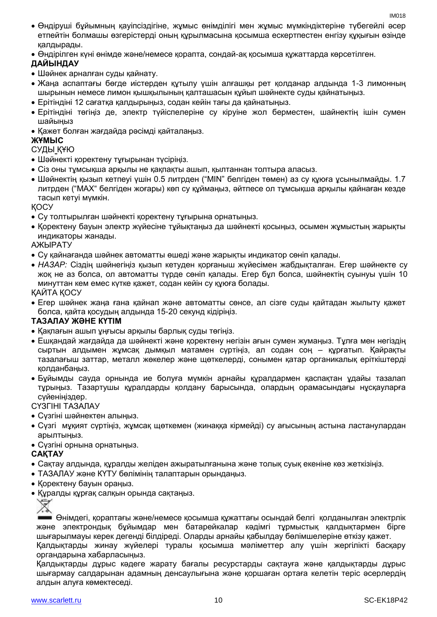- Өндіруші бұйымның қауіпсіздігіне, жұмыс өнімділігі мен жұмыс мүмкіндіктеріне түбегейлі әсер етпейтін болмашы өзгерістерді оның құрылмасына қосымша ескертпестен енгізу құқығын өзінде қалдырады.
- Өндірілген күні өнімде және/немесе қорапта, сондай-ақ қосымша құжаттарда көрсетілген.

#### **ДАЙЫНДАУ**

- Шәйнек арналған суды қайнату.
- Жаңа аспаптағы бөгде иістерден құтылу үшін алғашқы рет қолданар алдында 1-3 лимонның шырынын немесе лимон қышқылының қалташасын құйып шәйнекте суды қайнатыңыз.
- Ерітіндіні 12 сағатқа қалдырыңыз, содан кейін тағы да қайнатыңыз.
- Ерітіндіні төгіңіз де, электр түйіспелеріне су кіруіне жол берместен, шайнектің ішін сумен шайыңыз
- Қажет болған жағдайда рәсімді қайталаңыз.

#### **ЖҰМЫС**

#### СУДЫ ҚҰЮ

- Шәйнекті қоректену тұғырынан түсіріңіз.
- Сіз оны тұмсықша арқылы не қақпақты ашып, қылтаннан толтыра алаcыз.
- Шәйнектің қызып кетпеуі үшін 0.5 литрден ("MIN" белгіден төмен) аз су құюға ұсынылмайды. 1.7 литрден ("MAX" белгіден жоғары) көп су құймаңыз, әйтпесе ол тұмсықша арқылы қайнаған кезде тасып кетуі мүмкін.

ҚОСУ

- Су толтырылған шәйнекті қоректену тұғырына орнатыңыз.
- Қоректену бауын электр жүйесіне тұйықтаңыз да шәйнекті қосыңыз, осымен жұмыстың жарықты индикаторы жанады.

АЖЫРАТУ

- Су қайнағанда шәйнек автоматты өшеді және жарықты индикатор сөніп қалады.
- *НАЗАР:* Сіздің шәйнегіңіз қызып кетуден қорғаныш жүйесімен жабдықталған. Егер шәйнекте су жоқ не аз болса, ол автоматты түрде сөніп қалады. Егер бұл болса, шәйнектің суынуы үшін 10 минуттан кем емес күтке қажет, содан кейін су құюға болады.

ҚАЙТА ҚОСУ

 Егер шәйнек жаңа ғана қайнап және автоматты сөнсе, ал сізге суды қайтадан жылыту қажет болса, қайта қосудың алдында 15-20 секунд кідіріңіз.

#### **ТАЗАЛАУ ЖӘНЕ КҮТІМ**

- Қақпағын ашып ұңғысы арқылы барлық суды төгіңіз.
- Ешқандай жағдайда да шәйнекті және қоректену негізін ағын сумен жумаңыз. Тұлға мен негіздің сыртын алдымен жұмсақ дымқыл матамен сүртіңіз, ал содан соң – құрғатып. Қайрақты тазалағыш заттар, металл жөкелер және щөткелерді, сонымен қатар органикалық еріткіштерді қолданбаңыз.
- Бұйымды сауда орнында ие болуға мүмкін арнайы құралдармен қаспақтан ұдайы тазалап тұрыңыз. Тазартушы құралдарды қолдану барысында, олардың орамасындағы нұсқауларға сүйеніңіздер.

#### СҮЗГІНІ ТАЗАЛАУ

- Сүзгіні шәйнектен алыңыз.
- Сүзгі мұқият сүртіңіз, жұмсақ щөткемен (жинаққа кірмейді) су ағысының астына ластанулардан арылтыңыз.
- Сүзгіні орнына орнатыңыз.

#### **САҚТАУ**

- Cақтау алдында, құралды желіден ажыратылғанына және толық суық екеніне көз жеткізіңіз.
- ТАЗАЛАУ және КҮТУ бөлімінің талаптарын орындаңыз.
- Қоректену бауын ораңыз.
- Құралды құрғақ салқын орында сақтаңыз.



Өнімдегі, қораптағы және/немесе қосымша құжаттағы осындай белгі қолданылған электрлік және электрондық бұйымдар мен батарейкалар кәдімгі тұрмыстық қалдықтармен бірге шығарылмауы керек дегенді білдіреді. Оларды арнайы қабылдау бөлімшелеріне өткізу қажет. Қалдықтарды жинау жүйелері туралы қосымша мәліметтер алу үшін жергілікті басқару органдарына хабарласыңыз.

Қалдықтарды дұрыс кәдеге жарату бағалы ресурстарды сақтауға және қалдықтарды дұрыс шығармау салдарынан адамның денсаулығына және қоршаған ортаға келетін теріс әсерлердің алдын алуға көмектеседі.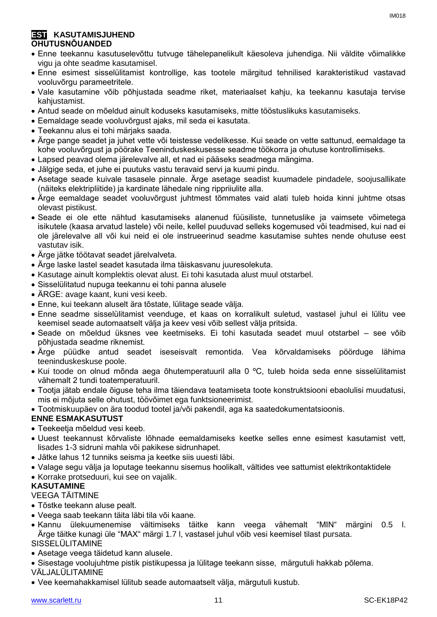#### **EST KASUTAMISJUHEND OHUTUSNÕUANDED**

- Enne teekannu kasutuselevõttu tutvuge tähelepanelikult käesoleva juhendiga. Nii väldite võimalikke vigu ja ohte seadme kasutamisel.
- Enne esimest sisselülitamist kontrollige, kas tootele märgitud tehnilised karakteristikud vastavad vooluvõrgu parameetritele.
- Vale kasutamine võib põhjustada seadme riket, materiaalset kahju, ka teekannu kasutaja tervise kahjustamist.
- Antud seade on mõeldud ainult koduseks kasutamiseks, mitte tööstuslikuks kasutamiseks.
- Eemaldage seade vooluvõrgust ajaks, mil seda ei kasutata.
- Teekannu alus ei tohi märjaks saada.
- Ärge pange seadet ja juhet vette või teistesse vedelikesse. Kui seade on vette sattunud, eemaldage ta kohe vooluvõrgust ja pöörake Teeninduskeskusesse seadme töökorra ja ohutuse kontrollimiseks.
- Lapsed peavad olema järelevalve all, et nad ei pääseks seadmega mängima.
- Jälgige seda, et juhe ei puutuks vastu teravaid servi ja kuumi pindu.
- Asetage seade kuivale tasasele pinnale. Ärge asetage seadist kuumadele pindadele, soojusallikate (näiteks elektripliitide) ja kardinate lähedale ning rippriiulite alla.
- Ärge eemaldage seadet vooluvõrgust juhtmest tõmmates vaid alati tuleb hoida kinni juhtme otsas olevast pistikust.
- Seade ei ole ette nähtud kasutamiseks alanenud füüsiliste, tunnetuslike ja vaimsete võimetega isikutele (kaasa arvatud lastele) või neile, kellel puuduvad selleks kogemused või teadmised, kui nad ei ole järelevalve all või kui neid ei ole instrueerinud seadme kasutamise suhtes nende ohutuse eest vastutav isik.
- Ärge jätke töötavat seadet järelvalveta.
- Ärge laske lastel seadet kasutada ilma täiskasvanu juuresolekuta.
- Kasutage ainult komplektis olevat alust. Ei tohi kasutada alust muul otstarbel.
- Sisselülitatud nupuga teekannu ei tohi panna alusele
- ÄRGE: avage kaant, kuni vesi keeb.
- Enne, kui teekann aluselt ära tõstate, lülitage seade välja.
- Enne seadme sisselülitamist veenduge, et kaas on korralikult suletud, vastasel juhul ei lülitu vee keemisel seade automaatselt välja ja keev vesi võib sellest välja pritsida.
- Seade on mõeldud üksnes vee keetmiseks. Ei tohi kasutada seadet muul otstarbel see võib põhjustada seadme riknemist.
- Ärge püüdke antud seadet iseseisvalt remontida. Vea kõrvaldamiseks pöörduge lähima teeninduskeskuse poole.
- Kui toode on olnud mõnda aega õhutemperatuuril alla 0 ºC, tuleb hoida seda enne sisselülitamist vähemalt 2 tundi toatemperatuuril.
- Tootja jätab endale õiguse teha ilma täiendava teatamiseta toote konstruktsiooni ebaolulisi muudatusi, mis ei mõjuta selle ohutust, töövõimet ega funktsioneerimist.

Tootmiskuupäev on ära toodud tootel ja/või pakendil, aga ka saatedokumentatsioonis.

#### **ENNE ESMAKASUTUST**

- Teekeetja mõeldud vesi keeb.
- Uuest teekannust kõrvaliste lõhnade eemaldamiseks keetke selles enne esimest kasutamist vett, lisades 1-3 sidruni mahla või pakikese sidrunhapet.
- Jätke lahus 12 tunniks seisma ja keetke siis uuesti läbi.
- Valage segu välja ja loputage teekannu sisemus hoolikalt, vältides vee sattumist elektrikontaktidele
- Korrake protseduuri, kui see on vajalik.

#### **KASUTAMINE**

#### VEEGA TÄITMINE

- Tõstke teekann aluse pealt.
- Veega saab teekann täita läbi tila või kaane.
- Kannu ülekuumenemise vältimiseks täitke kann veega vähemalt "MIN" märgini 0.5 l. Ärge täitke kunagi üle "MAX" märgi 1.7 l, vastasel juhul võib vesi keemisel tilast pursata. SISSELÜLITAMINE
- Asetage veega täidetud kann alusele.
- Sisestage voolujuhtme pistik pistikupessa ja lülitage teekann sisse, märgutuli hakkab põlema. VÄLJALÜLITAMINE
- Vee keemahakkamisel lülitub seade automaatselt välja, märgutuli kustub.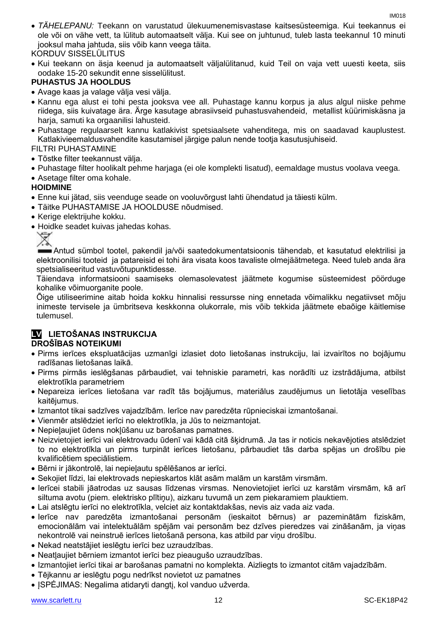*TÄHELEPANU:* Teekann on varustatud ülekuumenemisvastase kaitsesüsteemiga. Kui teekannus ei ole või on vähe vett, ta lülitub automaatselt välja. Kui see on juhtunud, tuleb lasta teekannul 10 minuti jooksul maha jahtuda, siis võib kann veega täita.

#### KORDUV SISSELÜLITUS

 Kui teekann on äsja keenud ja automaatselt väljalülitanud, kuid Teil on vaja vett uuesti keeta, siis oodake 15-20 sekundit enne sisselülitust.

#### **PUHASTUS JA HOOLDUS**

- Avage kaas ja valage välja vesi välja.
- Kannu ega alust ei tohi pesta jooksva vee all. Puhastage kannu korpus ja alus algul niiske pehme riidega, siis kuivatage ära. Ärge kasutage abrasiivseid puhastusvahendeid, metallist küürimiskäsna ja harja, samuti ka orgaanilisi lahusteid.
- Puhastage regulaarselt kannu katlakivist spetsiaalsete vahenditega, mis on saadavad kauplustest. Katlakivieemaldusvahendite kasutamisel järgige palun nende tootja kasutusjuhiseid.

#### FILTRI PUHASTAMINE

- Tõstke filter teekannust välja.
- Puhastage filter hoolikalt pehme harjaga (ei ole komplekti lisatud), eemaldage mustus voolava veega.
- Asetage filter oma kohale.

#### **HOIDMINE**

- Enne kui jätad, siis veenduge seade on vooluvõrgust lahti ühendatud ja täiesti külm.
- Täitke PUHASTAMISE JA HOOLDUSE nõudmised.
- Kerige elektrijuhe kokku.
- Hoidke seadet kuivas jahedas kohas.

Antud sümbol tootel, pakendil ja/või saatedokumentatsioonis tähendab, et kasutatud elektrilisi ja elektroonilisi tooteid ja patareisid ei tohi ära visata koos tavaliste olmejäätmetega. Need tuleb anda ära spetsialiseeritud vastuvõtupunktidesse.

Täiendava informatsiooni saamiseks olemasolevatest jäätmete kogumise süsteemidest pöörduge kohalike võimuorganite poole.

Õige utiliseerimine aitab hoida kokku hinnalisi ressursse ning ennetada võimalikku negatiivset mõju inimeste tervisele ja ümbritseva keskkonna olukorrale, mis võib tekkida jäätmete ebaõige käitlemise tulemusel.

#### **LV LIETOŠANAS INSTRUKCIJA DROŠĪBAS NOTEIKUMI**

- Pirms ierīces ekspluatācijas uzmanīgi izlasiet doto lietošanas instrukciju, lai izvairītos no bojājumu radīšanas lietošanas laikā.
- Pirms pirmās ieslēgšanas pārbaudiet, vai tehniskie parametri, kas norādīti uz izstrādājuma, atbilst elektrotīkla parametriem
- Nepareiza ierīces lietošana var radīt tās bojājumus, materiālus zaudējumus un lietotāja veselības kaitējumus.
- Izmantot tikai sadzīves vajadzībām. Ierīce nav paredzēta rūpnieciskai izmantošanai.
- Vienmēr atslēdziet ierīci no elektrotīkla, ja Jūs to neizmantojat.
- Nepieļaujiet ūdens nokļūšanu uz barošanas pamatnes.
- Neizvietojiet ierīci vai elektrovadu ūdenī vai kādā citā šķidrumā. Ja tas ir noticis nekavējoties atslēdziet to no elektrotīkla un pirms turpināt ierīces lietošanu, pārbaudiet tās darba spējas un drošību pie kvalificētiem speciālistiem.
- Bērni ir jākontrolē, lai nepieļautu spēlēšanos ar ierīci.
- Sekojiet līdzi, lai elektrovads nepieskartos klāt asām malām un karstām virsmām.
- Ierīcei stabili jāatrodas uz sausas līdzenas virsmas. Nenovietojiet ierīci uz karstām virsmām, kā arī siltuma avotu (piem. elektrisko plītiņu), aizkaru tuvumā un zem piekaramiem plauktiem.
- Lai atslēgtu ierīci no elektrotīkla, velciet aiz kontaktdakšas, nevis aiz vada aiz vada.
- Ierīce nav paredzēta izmantošanai personām (ieskaitot bērnus) ar pazeminātām fiziskām, emocionālām vai intelektuālām spējām vai personām bez dzīves pieredzes vai zināšanām, ja viņas nekontrolē vai neinstruē ierīces lietošanā persona, kas atbild par viņu drošību.
- Nekad neatstājiet ieslēgtu ierīci bez uzraudzības.
- Neatļaujiet bērniem izmantot ierīci bez pieaugušo uzraudzības.
- Izmantojiet ierīci tikai ar barošanas pamatni no komplekta. Aizliegts to izmantot citām vajadzībām.
- Tējkannu ar ieslēgtu pogu nedrīkst novietot uz pamatnes
- ISPĖJIMAS: Negalima atidaryti dangti, kol vanduo užverda.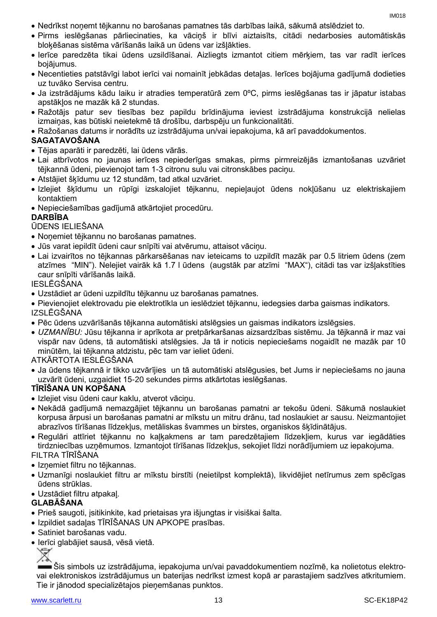- Nedrīkst noņemt tējkannu no barošanas pamatnes tās darbības laikā, sākumā atslēdziet to.
- Pirms ieslēgšanas pārliecinaties, ka vāciņš ir blīvi aiztaisīts, citādi nedarbosies automātiskās bloķēšanas sistēma vārīšanās laikā un ūdens var izšļākties.
- Ierīce paredzēta tikai ūdens uzsildīšanai. Aizliegts izmantot citiem mērķiem, tas var radīt ierīces bojājumus.
- Necentieties patstāvīgi labot ierīci vai nomainīt jebkādas detaļas. Ierīces bojājuma gadījumā dodieties uz tuvāko Servisa centru.
- Ja izstrādājums kādu laiku ir atradies temperatūrā zem 0ºC, pirms ieslēgšanas tas ir jāpatur istabas apstākļos ne mazāk kā 2 stundas.
- Ražotājs patur sev tiesības bez papildu brīdinājuma ieviest izstrādājuma konstrukcijā nelielas izmaiņas, kas būtiski neietekmē tā drošību, darbspēju un funkcionalitāti.
- Ražošanas datums ir norādīts uz izstrādājuma un/vai iepakojuma, kā arī pavaddokumentos.

#### **SAGATAVOŠANA**

- Tējas aparāti ir paredzēti, lai ūdens vārās.
- Lai atbrīvotos no jaunas ierīces nepiederīgas smakas, pirms pirmreizējās izmantošanas uzvāriet tējkannā ūdeni, pievienojot tam 1-3 citronu sulu vai citronskābes paciņu.
- Atstājiet šķīdumu uz 12 stundām, tad atkal uzvāriet.
- Izlejiet šķīdumu un rūpīgi izskalojiet tējkannu, nepieļaujot ūdens nokļūšanu uz elektriskajiem kontaktiem
- Nepieciešamības gadījumā atkārtojiet procedūru.

#### **DARBĪBA**

#### ŪDENS IELIEŠANA

- Noņemiet tējkannu no barošanas pamatnes.
- Jūs varat iepildīt ūdeni caur snīpīti vai atvērumu, attaisot vāciņu.
- Lai izvairītos no tējkannas pārkarsēšanas nav ieteicams to uzpildīt mazāk par 0.5 litriem ūdens (zem atzīmes "MIN"). Nelejiet vairāk kā 1.7 l ūdens (augstāk par atzīmi "MAX"), citādi tas var izšļakstīties caur snīpīti vārīšanās laikā.

#### IESLĒGŠANA

Uzstādiet ar ūdeni uzpildītu tējkannu uz barošanas pamatnes.

 Pievienojiet elektrovadu pie elektrotīkla un ieslēdziet tējkannu, iedegsies darba gaismas indikators. IZSLĒGŠANA

- Pēc ūdens uzvārīšanās tējkanna automātiski atslēgsies un gaismas indikators izslēgsies.
- *UZMANĪBU:* Jūsu tējkanna ir aprīkota ar pretpārkaršanas aizsardzības sistēmu. Ja tējkannā ir maz vai vispār nav ūdens, tā automātiski atslēgsies. Ja tā ir noticis nepieciešams nogaidīt ne mazāk par 10 minūtēm, lai tējkanna atdzistu, pēc tam var ieliet ūdeni.

ATKĀRTOTA IESLĒGŠANA

 Ja ūdens tējkannā ir tikko uzvārījies un tā automātiski atslēgusies, bet Jums ir nepieciešams no jauna uzvārīt ūdeni, uzgaidiet 15-20 sekundes pirms atkārtotas ieslēgšanas.

#### **TĪRĪŠANA UN KOPŠANA**

- Izlejiet visu ūdeni caur kaklu, atverot vācinu.
- Nekādā gadījumā nemazgājiet tējkannu un barošanas pamatni ar tekošu ūdeni. Sākumā noslaukiet korpusa ārpusi un barošanas pamatni ar mīkstu un mitru drānu, tad noslaukiet ar sausu. Neizmantojiet abrazīvos tīrīšanas līdzekļus, metāliskas švammes un birstes, organiskos šķīdinātājus.
- Regulāri attīriet tējkannu no kaļķakmens ar tam paredzētajiem līdzekļiem, kurus var iegādāties tirdzniecības uzņēmumos. Izmantojot tīrīšanas līdzekļus, sekojiet līdzi norādījumiem uz iepakojuma.

#### FILTRA TĪRĪŠANA

- Iznemiet filtru no tējkannas.
- Uzmanīgi noslaukiet filtru ar mīkstu birstīti (neietilpst komplektā), likvidējiet netīrumus zem spēcīgas ūdens strūklas.
- Uzstādiet filtru atpakaļ.

#### **GLABĀŠANA**

- Prieš saugoti, įsitikinkite, kad prietaisas yra išjungtas ir visiškai šalta.
- Izpildiet sadaļas TĪRĪŠANAS UN APKOPE prasības.
- Satiniet barošanas vadu.
- Ierīci glabājiet sausā, vēsā vietā.

Šis simbols uz izstrādājuma, iepakojuma un/vai pavaddokumentiem nozīmē, ka nolietotus elektrovai elektroniskos izstrādājumus un baterijas nedrīkst izmest kopā ar parastajiem sadzīves atkritumiem. Tie ir jānodod specializētajos pieņemšanas punktos.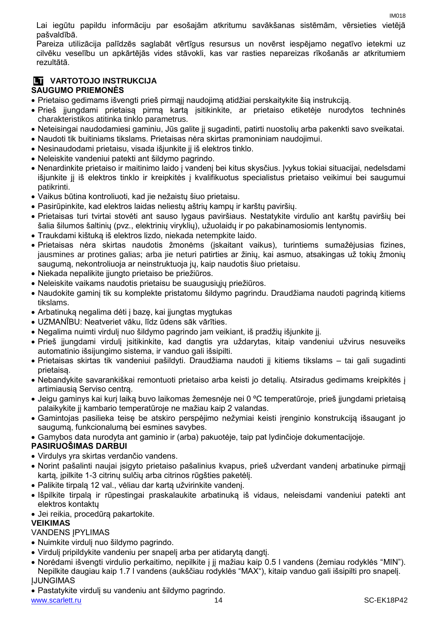Lai iegūtu papildu informāciju par esošajām atkritumu savākšanas sistēmām, vērsieties vietējā pašvaldībā.

Pareiza utilizācija palīdzēs saglabāt vērtīgus resursus un novērst iespējamo negatīvo ietekmi uz cilvēku veselību un apkārtējās vides stāvokli, kas var rasties nepareizas rīkošanās ar atkritumiem rezultātā.

#### **LT VARTOTOJO INSTRUKCIJA SAUGUMO PRIEMONĖS**

- Prietaiso gedimams išvengti prieš pirmąjį naudojimą atidžiai perskaitykite šią instrukciją.
- Prieš įjungdami prietaisą pirmą kartą įsitikinkite, ar prietaiso etiketėje nurodytos techninės charakteristikos atitinka tinklo parametrus.
- Neteisingai naudodamiesi gaminiu, Jūs galite jį sugadinti, patirti nuostolių arba pakenkti savo sveikatai.
- Naudoti tik buitiniams tikslams. Prietaisas nėra skirtas pramoniniam naudojimui.
- Nesinaudodami prietaisu, visada išjunkite jį iš elektros tinklo.
- Neleiskite vandeniui patekti ant šildymo pagrindo.
- Nenardinkite prietaiso ir maitinimo laido į vandenį bei kitus skysčius. Įvykus tokiai situacijai, nedelsdami išjunkite jį iš elektros tinklo ir kreipkitės į kvalifikuotus specialistus prietaiso veikimui bei saugumui patikrinti.
- Vaikus būtina kontroliuoti, kad jie nežaistų šiuo prietaisu.
- Pasirūpinkite, kad elektros laidas neliestų aštrių kampų ir karštų paviršių.
- Prietaisas turi tvirtai stovėti ant sauso lygaus paviršiaus. Nestatykite virdulio ant karštų paviršių bei šalia šilumos šaltinių (pvz., elektrinių viryklių), užuolaidų ir po pakabinamosiomis lentynomis.
- Traukdami kištuką iš elektros lizdo, niekada netempkite laido.
- Prietaisas nėra skirtas naudotis žmonėms (įskaitant vaikus), turintiems sumažėjusias fizines, jausmines ar protines galias; arba jie neturi patirties ar žinių, kai asmuo, atsakingas už tokių žmonių saugumą, nekontroliuoja ar neinstruktuoja jų, kaip naudotis šiuo prietaisu.
- Niekada nepalikite įjungto prietaiso be priežiūros.
- Neleiskite vaikams naudotis prietaisu be suaugusiųjų priežiūros.
- Naudokite gaminį tik su komplekte pristatomu šildymo pagrindu. Draudžiama naudoti pagrindą kitiems tikslams.
- Arbatinuką negalima dėti į bazę, kai įjungtas mygtukas
- UZMANĪBU: Neatveriet vāku, līdz ūdens sāk vārīties.
- Negalima nuimti virdulį nuo šildymo pagrindo jam veikiant, iš pradžių išjunkite jį.
- Prieš įjungdami virdulį įsitikinkite, kad dangtis yra uždarytas, kitaip vandeniui užvirus nesuveiks automatinio išsijungimo sistema, ir vanduo gali išsipilti.
- Prietaisas skirtas tik vandeniui pašildyti. Draudžiama naudoti jį kitiems tikslams tai gali sugadinti prietaisą.
- Nebandykite savarankiškai remontuoti prietaiso arba keisti jo detalių. Atsiradus gedimams kreipkitės į artimiausią Serviso centrą.
- Jeigu gaminys kai kurį laiką buvo laikomas žemesnėje nei 0 °C temperatūroje, prieš įjungdami prietaisą palaikykite jį kambario temperatūroje ne mažiau kaip 2 valandas.
- Gamintojas pasilieka teisę be atskiro perspėjimo nežymiai keisti įrenginio konstrukciją išsaugant jo saugumą, funkcionalumą bei esmines savybes.
- Gamybos data nurodyta ant gaminio ir (arba) pakuotėje, taip pat lydinčioje dokumentacijoje.

#### **PASIRUOŠIMAS DARBUI**

- Virdulys yra skirtas verdančio vandens.
- Norint pašalinti naujai įsigyto prietaiso pašalinius kvapus, prieš užverdant vandenį arbatinuke pirmąjį kartą, įpilkite 1-3 citrinų sulčių arba citrinos rūgšties paketėlį.
- Palikite tirpalą 12 val., vėliau dar kartą užvirinkite vandenį.
- Išpilkite tirpalą ir rūpestingai praskalaukite arbatinuką iš vidaus, neleisdami vandeniui patekti ant elektros kontaktų
- Jei reikia, procedūrą pakartokite.

#### **VEIKIMAS**

#### **VANDENS IPYLIMAS**

- Nuimkite virdulį nuo šildymo pagrindo.
- Virdulį pripildykite vandeniu per snapelį arba per atidarytą dangtį.
- Norėdami išvengti virdulio perkaitimo, nepilkite į jį mažiau kaip 0.5 l vandens (žemiau rodyklės "MIN"). Nepilkite daugiau kaip 1.7 l vandens (aukščiau rodyklės "MAX"), kitaip vanduo gali išsipilti pro snapelį. ĮJUNGIMAS
- Pastatykite virdulį su vandeniu ant šildymo pagrindo.

IM018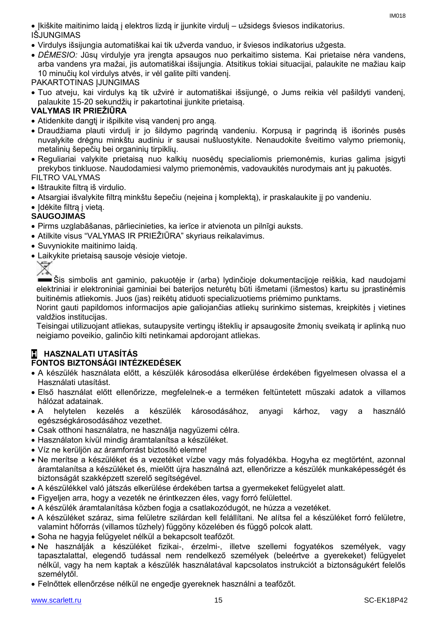- Virdulys išsijungia automatiškai kai tik užverda vanduo, ir šviesos indikatorius užgesta.
- *DĖMESIO:* Jūsų virdulyje yra įrengta apsaugos nuo perkaitimo sistema. Kai prietaise nėra vandens, arba vandens yra mažai, jis automatiškai išsijungia. Atsitikus tokiai situacijai, palaukite ne mažiau kaip 10 minučių kol virdulys atvės, ir vėl galite pilti vandenį.

PAKARTOTINAS ĮJUNGIMAS

 Tuo atveju, kai virdulys ką tik užvirė ir automatiškai išsijungė, o Jums reikia vėl pašildyti vandenį, palaukite 15-20 sekundžių ir pakartotinai įjunkite prietaisą.

### **VALYMAS IR PRIEŽIŪRA**

- Atidenkite dangtį ir išpilkite visą vandenį pro angą.
- Draudžiama plauti virdulį ir jo šildymo pagrindą vandeniu. Korpusą ir pagrindą iš išorinės pusės nuvalykite drėgnu minkštu audiniu ir sausai nušluostykite. Nenaudokite šveitimo valymo priemonių, metalinių šepečių bei organinių tirpiklių.
- Reguliariai valykite prietaisą nuo kalkių nuosėdų specialiomis priemonėmis, kurias galima įsigyti prekybos tinkluose. Naudodamiesi valymo priemonėmis, vadovaukitės nurodymais ant jų pakuotės. FILTRO VALYMAS
- Ištraukite filtra iš virdulio.
- Atsargiai išvalykite filtrą minkštu šepečiu (neįeina į komplektą), ir praskalaukite jį po vandeniu.
- Idėkite filtra į vieta.

### **SAUGOJIMAS**

- Pirms uzglabāšanas, pārliecinieties, ka ierīce ir atvienota un pilnīgi auksts.
- Atilkite visus "VALYMAS IR PRIEŽIŪRA" skyriaus reikalavimus.
- Suvyniokite maitinimo laidą.
- Laikykite prietaisą sausoje vėsioje vietoje.



Šis simbolis ant gaminio, pakuotėje ir (arba) lydinčioje dokumentacijoje reiškia, kad naudojami elektriniai ir elektroniniai gaminiai bei baterijos neturėtų būti išmetami (išmestos) kartu su įprastinėmis buitinėmis atliekomis. Juos (jas) reikėtų atiduoti specializuotiems priėmimo punktams.

Norint gauti papildomos informacijos apie galiojančias atliekų surinkimo sistemas, kreipkitės į vietines valdžios institucijas.

Teisingai utilizuojant atliekas, sutaupysite vertingų išteklių ir apsaugosite žmonių sveikatą ir aplinką nuo neigiamo poveikio, galinčio kilti netinkamai apdorojant atliekas.

## **H HASZNALATI UTASÍTÁS**

### **FONTOS BIZTONSÁGI INTÉZKEDÉSEK**

- A készülék használata előtt, a készülék károsodása elkerülése érdekében figyelmesen olvassa el a Használati utasítást.
- Első használat előtt ellenőrizze, megfelelnek-e a terméken feltüntetett műszaki adatok a villamos hálózat adatainak.
- A helytelen kezelés a készülék károsodásához, anyagi kárhoz, vagy a használó egészségkárosodásához vezethet.
- Csak otthoni használatra, ne használja nagyüzemi célra.
- Használaton kívül mindig áramtalanítsa a készüléket.
- Víz ne kerüljön az áramforrást biztosító elemre!
- Ne merítse a készüléket és a vezetéket vízbe vagy más folyadékba. Hogyha ez megtörtént, azonnal áramtalanítsa a készüléket és, mielőtt újra használná azt, ellenőrizze a készülék munkaképességét és biztonságát szakképzett szerelő segítségével.
- A készülékkel való játszás elkerülése érdekében tartsa a gyermekeket felügyelet alatt.
- Figyeljen arra, hogy a vezeték ne érintkezzen éles, vagy forró felülettel.
- A készülék áramtalanítása közben fogja a csatlakozódugót, ne húzza a vezetéket.
- A készüléket száraz, sima felületre szilárdan kell felállítani. Ne alítsa fel a készüléket forró felületre, valamint hőforrás (villamos tűzhely) függöny közelében és függő polcok alatt.
- Soha ne hagyja felügyelet nélkül a bekapcsolt teafőzőt.
- Ne használják a készüléket fizikai-, érzelmi-, illetve szellemi fogyatékos személyek, vagy tapasztalattal, elegendő tudással nem rendelkező személyek (beleértve a gyerekeket) felügyelet nélkül, vagy ha nem kaptak a készülék használatával kapcsolatos instrukciót a biztonságukért felelős személytől.
- Felnőttek ellenőrzése nélkül ne engedje gyereknek használni a teafőzőt.

IM018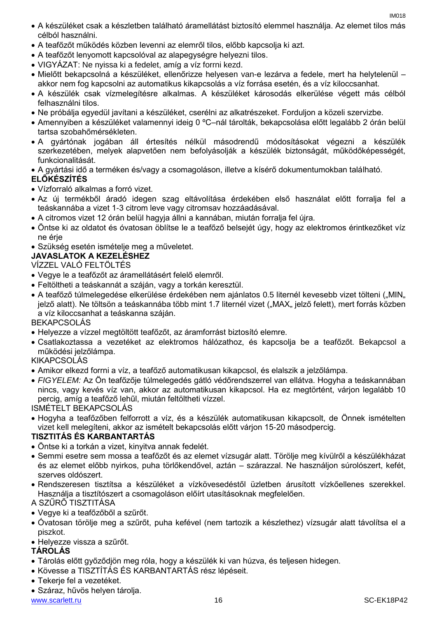- A készüléket csak a készletben található áramellátást biztosító elemmel használja. Az elemet tilos más célból használni.
- A teafőzőt működés közben levenni az elemről tilos, előbb kapcsolja ki azt.
- A teafőzőt lenyomott kapcsolóval az alapegységre helyezni tilos.
- VIGYÁZAT: Ne nyissa ki a fedelet, amíg a víz forrni kezd.
- Mielőtt bekapcsolná a készüléket, ellenőrizze helyesen van-e lezárva a fedele, mert ha helytelenül akkor nem fog kapcsolni az automatikus kikapcsolás a víz forrása esetén, és a víz kiloccsanhat.
- A készülék csak vízmelegítésre alkalmas. A készüléket károsodás elkerülése végett más célból felhasználni tilos.
- Ne próbálja egyedül javítani a készüléket, cserélni az alkatrészeket. Forduljon a közeli szervizbe.
- Amennyiben a készüléket valamennyi ideig 0 ºC–nál tárolták, bekapcsolása előtt legalább 2 órán belül tartsa szobahőmérsékleten.
- A gyártónak jogában áll értesítés nélkül másodrendű módosításokat végezni a készülék szerkezetében, melyek alapvetően nem befolyásolják a készülék biztonságát, működőképességét, funkcionalitását.
- A gyártási idő a terméken és/vagy a csomagoláson, illetve a kísérő dokumentumokban található.

#### **ELŐKÉSZÍTÉS**

- Vízforraló alkalmas a forró vizet.
- Az új termékből áradó idegen szag eltávolítása érdekében első használat előtt forralja fel a teáskannába a vizet 1-3 citrom leve vagy citromsav hozzáadásával.
- A citromos vizet 12 órán belül hagyja állni a kannában, miután forralja fel újra.
- Öntse ki az oldatot és óvatosan öblítse le a teafőző belsejét úgy, hogy az elektromos érintkezőket víz ne érje
- Szükség esetén ismételie meg a műveletet.
- **JAVASLATOK A KEZELÉSHEZ**

#### VÍZZEL VALÓ FELTÖLTÉS

- Vegye le a teafőzőt az áramellátásért felelő elemről.
- Feltöltheti a teáskannát a száján, vagy a torkán keresztül.
- A teafőző túlmelegedése elkerülése érdekében nem ajánlatos 0.5 liternél kevesebb vizet tölteni ("MIN" jelző alatt). Ne töltsön a teáskannába több mint 1.7 liternél vizet ("MAX" jelző felett), mert forrás közben a víz kiloccsanhat a teáskanna száján.

#### BEKAPCSOLÁS

- Helyezze a vízzel megtöltött teafőzőt, az áramforrást biztosító elemre.
- Csatlakoztassa a vezetéket az elektromos hálózathoz, és kapcsolja be a teafőzőt. Bekapcsol a működési jelzőlámpa.

#### KIKAPCSOLÁS

- Amikor elkezd forrni a víz, a teafőző automatikusan kikapcsol, és elalszik a jelzőlámpa.
- *FIGYELEM:* Az Ön teafőzője túlmelegedés gátló védőrendszerrel van ellátva. Hogyha a teáskannában nincs, vagy kevés víz van, akkor az automatikusan kikapcsol. Ha ez megtörtént, várjon legalább 10 percig, amíg a teafőző lehűl, miután feltöltheti vízzel.

ISMÉTELT BEKAPCSOLÁS

 Hogyha a teafőzőben felforrott a víz, és a készülék automatikusan kikapcsolt, de Önnek ismételten vizet kell melegíteni, akkor az ismételt bekapcsolás előtt várjon 15-20 másodpercig.

#### **TISZTITÁS ÉS KARBANTARTÁS**

- Öntse ki a torkán a vizet, kinyitva annak fedelét.
- Semmi esetre sem mossa a teafőzőt és az elemet vízsugár alatt. Törölje meg kívülről a készülékházat és az elemet előbb nyirkos, puha törlőkendővel, aztán – szárazzal. Ne használjon súrolószert, kefét, szerves oldószert.
- Rendszeresen tisztítsa a készüléket a vízkövesedéstől üzletben árusított vízkőellenes szerekkel. Használja a tisztítószert a csomagoláson előírt utasításoknak megfelelően.

#### A SZŰRŐ TISZTITÁSA

- Vegye ki a teafőzőből a szűrőt.
- Óvatosan törölje meg a szűrőt, puha kefével (nem tartozik a készlethez) vízsugár alatt távolítsa el a piszkot.
- Helyezze vissza a szűrőt.

#### **TÁROLÁS**

- Tárolás előtt győződjön meg róla, hogy a készülék ki van húzva, és teljesen hidegen.
- Kövesse a TISZTÍTÁS ÉS KARBANTARTÁS rész lépéseit.
- Tekerje fel a vezetéket.
- Száraz, hűvös helyen tárolja.

www.scarlett.ru 16 SC-EK18P42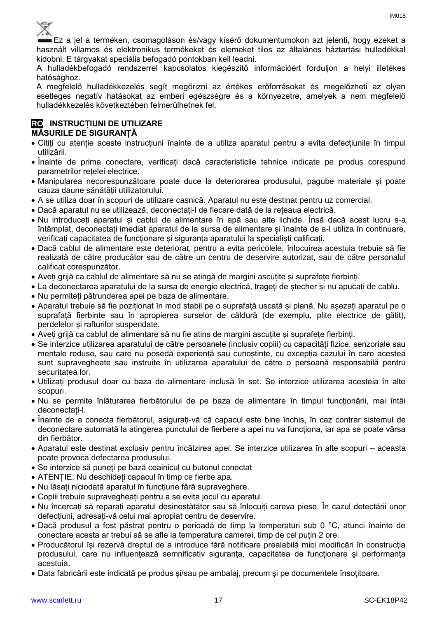Ez a jel a terméken, csomagoláson és/vagy kísérő dokumentumokon azt jelenti, hogy ezeket a használt villamos és elektronikus termékeket és elemeket tilos az általános háztartási hulladékkal kidobni. E tárgyakat speciális befogadó pontokban kell leadni.

A hulladékbefogadó rendszerrel kapcsolatos kiegészítő információért forduljon a helyi illetékes hatósághoz.

A megfelelő hulladékkezelés segít megőrizni az értékes erőforrásokat és megelőzheti az olyan esetleges negatív hatásokat az emberi egészségre és a környezetre, amelyek a nem megfelelő hulladékkezelés következtében felmerülhetnek fel.

#### **RO INSTRUCȚIUNI DE UTILIZARE MĂSURILE DE SIGURANȚĂ**

- Citiți cu atenție aceste instrucțiuni înainte de a utiliza aparatul pentru a evita defecțiunile în timpul utilizării.
- Înainte de prima conectare, verificați dacă caracteristicile tehnice indicate pe produs corespund parametrilor rețelei electrice.
- Manipularea necorespunzătoare poate duce la deteriorarea produsului, pagube materiale și poate cauza daune sănătății utilizatorului.
- A se utiliza doar în scopuri de utilizare casnică. Aparatul nu este destinat pentru uz comercial.
- Dacă aparatul nu se utilizează, deconectați-l de fiecare dată de la rețeaua electrică.
- Nu introduceți aparatul și cablul de alimentare în apă sau alte lichide. Însă dacă acest lucru s-a întâmplat, deconectați imediat aparatul de la sursa de alimentare și înainte de a-l utiliza în continuare, verificați capacitatea de funcționare și siguranța aparatului la specialiști calificați.
- Dacă cablul de alimentare este deteriorat, pentru a evita pericolele, înlocuirea acestuia trebuie să fie realizată de către producător sau de către un centru de deservire autorizat, sau de către personalul calificat corespunzător.
- Aveți grijă ca cablul de alimentare să nu se atingă de margini ascuțite și suprafețe fierbinți.
- La deconectarea aparatului de la sursa de energie electrică, trageți de ștecher și nu apucați de cablu.
- Nu permiteți pătrunderea apei pe baza de alimentare.
- Aparatul trebuie să fie poziționat în mod stabil pe o suprafață uscată și plană. Nu așezați aparatul pe o suprafață fierbinte sau în apropierea surselor de căldură (de exemplu, plite electrice de gătit), perdelelor și rafturilor suspendate.
- Aveți grijă ca cablul de alimentare să nu fie atins de margini ascuțite și suprafețe fierbinți.
- Se interzice utilizarea aparatului de către persoanele (inclusiv copiii) cu capacități fizice, senzoriale sau mentale reduse, sau care nu posedă experiență sau cunoștințe, cu excepția cazului în care acestea sunt supravegheate sau instruite în utilizarea aparatului de către o persoană responsabilă pentru securitatea lor.
- Utilizați produsul doar cu baza de alimentare inclusă în set. Se interzice utilizarea acesteia în alte scopuri.
- Nu se permite înlăturarea fierbătorului de pe baza de alimentare în timpul funcționării, mai întâi deconectați-l.
- Înainte de a conecta fierbătorul, asigurați-vă că capacul este bine închis, în caz contrar sistemul de deconectare automată la atingerea punctului de fierbere a apei nu va funcționa, iar apa se poate vărsa din fierbător.
- Aparatul este destinat exclusiv pentru încălzirea apei. Se interzice utilizarea în alte scopuri aceasta poate provoca defectarea produsului.
- Se interzice să puneți pe bază ceainicul cu butonul conectat
- ATENȚIE: Nu deschideți capacul în timp ce fierbe apa.
- Nu lăsați niciodată aparatul în funcțiune fără supraveghere.
- Copiii trebuie supravegheați pentru a se evita jocul cu aparatul.
- Nu încercați să reparați aparatul desinestătător sau să înlocuiți careva piese. În cazul detectării unor defecțiuni, adresați-vă celui mai apropiat centru de deservire.
- Dacă produsul a fost păstrat pentru o perioadă de timp la temperaturi sub 0 °C, atunci înainte de conectare acesta ar trebui să se afle la temperatura camerei, timp de cel puțin 2 ore.
- Producătorul își rezervă dreptul de a introduce fără notificare prealabilă mici modificări în construcţia produsului, care nu influenţează semnificativ siguranţa, capacitatea de funcționare şi performanța acestuia.
- Data fabricării este indicată pe produs şi/sau pe ambalaj, precum şi pe documentele însoţitoare.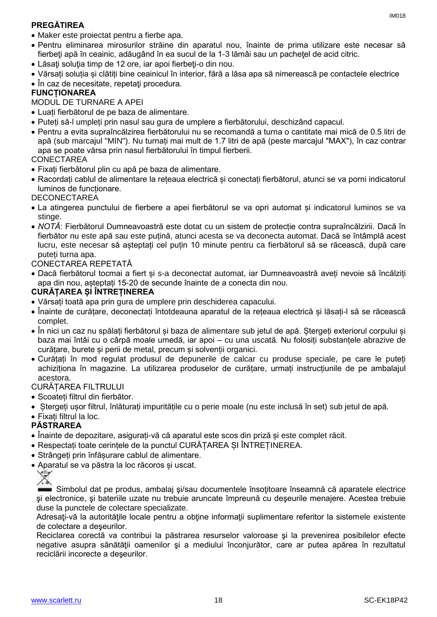### **PREGĂTIREA**

- Pentru eliminarea mirosurilor străine din aparatul nou, înainte de prima utilizare este necesar să fierbeți apă în ceainic, adăugând în ea sucul de la 1-3 lămâi sau un pachetel de acid citric.
- Lăsați soluția timp de 12 ore, iar apoi fierbeți-o din nou.
- Vărsați soluția și clătiți bine ceainicul în interior, fără a lăsa apa să nimerească pe contactele electrice
- În caz de necesitate, repetați procedura.

#### **FUNCȚIONAREA**

MODUL DE TURNARE A APEI

- Luați fierbătorul de pe baza de alimentare.
- Puteți să-l umpleți prin nasul sau gura de umplere a fierbătorului, deschizând capacul.
- Pentru a evita supraîncălzirea fierbătorului nu se recomandă a turna o cantitate mai mică de 0.5 litri de apă (sub marcajul "MIN"). Nu turnați mai mult de 1.7 litri de apă (peste marcajul "MAX"), în caz contrar apa se poate vărsa prin nasul fierbătorului în timpul fierberii.

#### CONECTAREA

- Fixați fierbătorul plin cu apă pe baza de alimentare.
- Racordați cablul de alimentare la rețeaua electrică și conectați fierbătorul, atunci se va porni indicatorul luminos de funcționare.

#### **DECONECTAREA**

- La atingerea punctului de fierbere a apei fierbătorul se va opri automat și indicatorul luminos se va stinge.
- *NOTĂ*: Fierbătorul Dumneavoastră este dotat cu un sistem de protecție contra supraîncălzirii. Dacă în fierbător nu este apă sau este puțină, atunci acesta se va deconecta automat. Dacă se întâmplă acest lucru, este necesar să așteptați cel puțin 10 minute pentru ca fierbătorul să se răcească, după care puteți turna apa.

#### CONECTAREA REPETATĂ

 Dacă fierbătorul tocmai a fiert și s-a deconectat automat, iar Dumneavoastră aveți nevoie să încălziți apa din nou, așteptați 15-20 de secunde înainte de a conecta din nou.

#### **CURĂȚAREA ȘI ÎNTREȚINEREA**

- Vărsați toată apa prin gura de umplere prin deschiderea capacului.
- Înainte de curățare, deconectați întotdeauna aparatul de la rețeaua electrică și lăsați-l să se răcească complet.
- În nici un caz nu spălați fierbătorul și baza de alimentare sub jetul de apă. Ștergeți exteriorul corpului și baza mai întâi cu o cârpă moale umedă, iar apoi – cu una uscată. Nu folosiți substanțele abrazive de curățare, burete și perii de metal, precum și solvenții organici.
- Curățați în mod regulat produsul de depunerile de calcar cu produse speciale, pe care le puteți achiziționa în magazine. La utilizarea produselor de curățare, urmați instrucțiunile de pe ambalajul acestora.

#### CURĂȚAREA FILTRULUI

- Scoateți filtrul din fierbător.
- Ștergeți ușor filtrul, înlăturați impuritățile cu o perie moale (nu este inclusă în set) sub jetul de apă.
- Fixați filtrul la loc.

### **PĂSTRAREA**

- Înainte de depozitare, asigurați-vă că aparatul este scos din priză și este complet răcit.
- Respectați toate cerințele de la punctul CURĂȚAREA ȘI ÎNTREȚINEREA.
- Strângeți prin înfășurare cablul de alimentare.
- Aparatul se va păstra la loc răcoros și uscat.



Simbolul dat pe produs, ambalaj şi/sau documentele însoţitoare înseamnă că aparatele electrice şi electronice, şi bateriile uzate nu trebuie aruncate împreună cu deşeurile menajere. Acestea trebuie duse la punctele de colectare specializate.

Adresați-vă la autoritățile locale pentru a obține informații suplimentare referitor la sistemele existente de colectare a deşeurilor.

Reciclarea corectă va contribui la păstrarea resurselor valoroase şi la prevenirea posibilelor efecte negative asupra sănătăţii oamenilor şi a mediului înconjurător, care ar putea apărea în rezultatul reciclării incorecte a deşeurilor.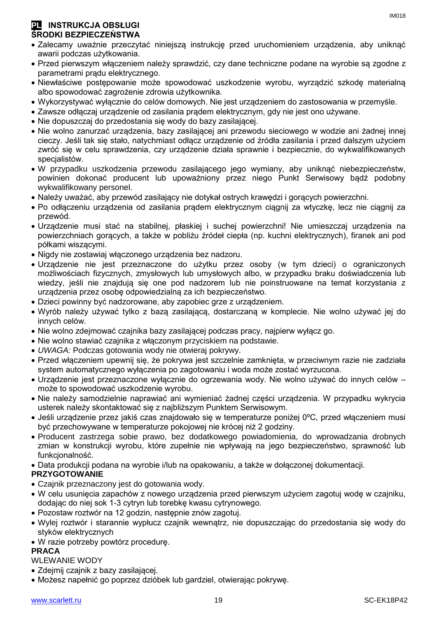#### **PL INSTRUKCJA OBSŁUGI ŚRODKI BEZPIECZEŃSTWA**

- Zalecamy uważnie przeczytać niniejszą instrukcję przed uruchomieniem urządzenia, aby uniknąć awarii podczas użytkowania.
- Przed pierwszym włączeniem należy sprawdzić, czy dane techniczne podane na wyrobie są zgodne z parametrami prądu elektrycznego.
- Niewłaściwe postępowanie może spowodować uszkodzenie wyrobu, wyrządzić szkodę materialną albo spowodować zagrożenie zdrowia użytkownika.
- Wykorzystywać wyłącznie do celów domowych. Nie jest urządzeniem do zastosowania w przemyśle.
- Zawsze odłączaj urządzenie od zasilania prądem elektrycznym, gdy nie jest ono używane.
- Nie dopuszczaj do przedostania się wody do bazy zasilającej.
- Nie wolno zanurzać urządzenia, bazy zasilającej ani przewodu sieciowego w wodzie ani żadnej innej cieczy. Jeśli tak się stało, natychmiast odłącz urządzenie od źródła zasilania i przed dalszym użyciem zwróć się w celu sprawdzenia, czy urządzenie działa sprawnie i bezpiecznie, do wykwalifikowanych specjalistów.
- W przypadku uszkodzenia przewodu zasilającego jego wymiany, aby uniknąć niebezpieczeństw, powinien dokonać producent lub upoważniony przez niego Punkt Serwisowy bądź podobny wykwalifikowany personel.
- Należy uważać, aby przewód zasilający nie dotykał ostrych krawędzi i gorących powierzchni.
- Po odłączeniu urządzenia od zasilania prądem elektrycznym ciągnij za wtyczkę, lecz nie ciągnij za przewód.
- Urządzenie musi stać na stabilnej, płaskiej i suchej powierzchni! Nie umieszczaj urządzenia na powierzchniach gorących, a także w pobliżu źródeł ciepła (np. kuchni elektrycznych), firanek ani pod półkami wiszącymi.
- Nigdy nie zostawiaj włączonego urządzenia bez nadzoru.
- Urządzenie nie jest przeznaczone do użytku przez osoby (w tym dzieci) o ograniczonych możliwościach fizycznych, zmysłowych lub umysłowych albo, w przypadku braku doświadczenia lub wiedzy, jeśli nie znajdują się one pod nadzorem lub nie poinstruowane na temat korzystania z urządzenia przez osobę odpowiedzialną za ich bezpieczeństwo.
- Dzieci powinny być nadzorowane, aby zapobiec grze z urządzeniem.
- Wyrób należy używać tylko z bazą zasilającą, dostarczaną w komplecie. Nie wolno używać jej do innych celów.
- Nie wolno zdejmować czajnika bazy zasilającej podczas pracy, najpierw wyłącz go.
- Nie wolno stawiać czajnika z włączonym przyciskiem na podstawie.
- *UWAGA:* Podczas gotowania wody nie otwieraj pokrywy.
- Przed włączeniem upewnij się, że pokrywa jest szczelnie zamknięta, w przeciwnym razie nie zadziała system automatycznego wyłączenia po zagotowaniu i woda może zostać wyrzucona.
- Urządzenie jest przeznaczone wyłącznie do ogrzewania wody. Nie wolno używać do innych celów może to spowodować uszkodzenie wyrobu.
- Nie należy samodzielnie naprawiać ani wymieniać żadnej części urządzenia. W przypadku wykrycia usterek należy skontaktować się z najbliższym Punktem Serwisowym.
- Jeśli urządzenie przez jakiś czas znajdowało się w temperaturze poniżej 0ºC, przed włączeniem musi być przechowywane w temperaturze pokojowej nie krócej niż 2 godziny.
- Producent zastrzega sobie prawo, bez dodatkowego powiadomienia, do wprowadzania drobnych zmian w konstrukcji wyrobu, które zupełnie nie wpływają na jego bezpieczeństwo, sprawność lub funkcjonalność.
- Data produkcji podana na wyrobie i/lub na opakowaniu, a także w dołączonej dokumentacji.

#### **PRZYGOTOWANIE**

- Czajnik przeznaczony jest do gotowania wody.
- W celu usunięcia zapachów z nowego urządzenia przed pierwszym użyciem zagotuj wodę w czajniku, dodając do niej sok 1-3 cytryn lub torebkę kwasu cytrynowego.
- Pozostaw roztwór na 12 godzin, następnie znów zagotuj.
- Wylej roztwór i starannie wypłucz czajnik wewnątrz, nie dopuszczając do przedostania się wody do styków elektrycznych
- W razie potrzeby powtórz procedurę.

#### **PRACA**

#### WLEWANIE WODY

- Zdejmij czajnik z bazy zasilającej.
- Możesz napełnić go poprzez dzióbek lub gardziel, otwierając pokrywę.